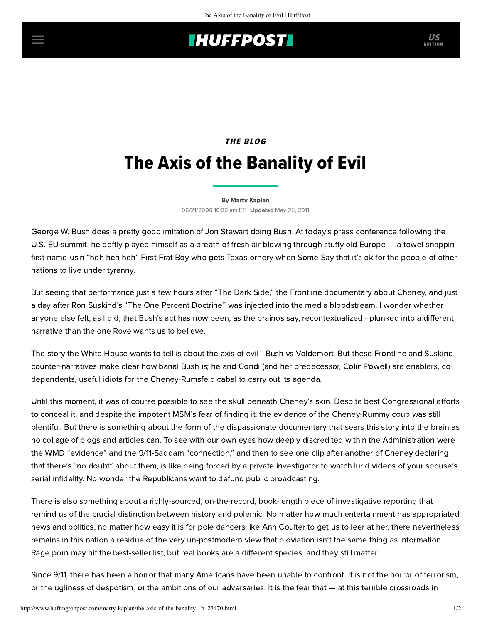# **THUFFPOSTI** US

## THE BLOG The Axis of the Banality of Evil

#### [By Marty Kaplan](http://www.huffingtonpost.com/author/marty-kaplan)

06/21/2006 10:36 am ET | Updated May 25, 2011

George W. Bush does a pretty good imitation of Jon Stewart doing Bush. At today's press conference following the U.S.-EU summit, he deftly played himself as a breath of fresh air blowing through stuffy old Europe — a towel-snappin first-name-usin "heh heh heh" First Frat Boy who gets Texas-ornery when Some Say that it's ok for the people of other nations to live under tyranny.

But seeing that performance just a few hours after "The Dark Side," the Frontline documentary about Cheney, and just a day after Ron Suskind's "The One Percent Doctrine" was injected into the media bloodstream, I wonder whether anyone else felt, as I did, that Bush's act has now been, as the brainos say, recontextualized - plunked into a different narrative than the one Rove wants us to believe.

The story the White House wants to tell is about the axis of evil - Bush vs Voldemort. But these Frontline and Suskind counter-narratives make clear how banal Bush is; he and Condi (and her predecessor, Colin Powell) are enablers, codependents, useful idiots for the Cheney-Rumsfeld cabal to carry out its agenda.

Until this moment, it was of course possible to see the skull beneath Cheney's skin. Despite best Congressional efforts to conceal it, and despite the impotent MSM's fear of finding it, the evidence of the Cheney-Rummy coup was still plentiful. But there is something about the form of the dispassionate documentary that sears this story into the brain as no collage of blogs and articles can. To see with our own eyes how deeply discredited within the Administration were the WMD "evidence" and the 9/11-Saddam "connection," and then to see one clip after another of Cheney declaring that there's "no doubt" about them, is like being forced by a private investigator to watch lurid videos of your spouse's serial infidelity. No wonder the Republicans want to defund public broadcasting.

There is also something about a richly-sourced, on-the-record, book-length piece of investigative reporting that remind us of the crucial distinction between history and polemic. No matter how much entertainment has appropriated news and politics, no matter how easy it is for pole dancers like Ann Coulter to get us to leer at her, there nevertheless remains in this nation a residue of the very un-postmodern view that bloviation isn't the same thing as information. Rage porn may hit the best-seller list, but real books are a different species, and they still matter.

Since 9/11, there has been a horror that many Americans have been unable to confront. It is not the horror of terrorism, or the ugliness of despotism, or the ambitions of our adversaries. It is the fear that — at this terrible crossroads in